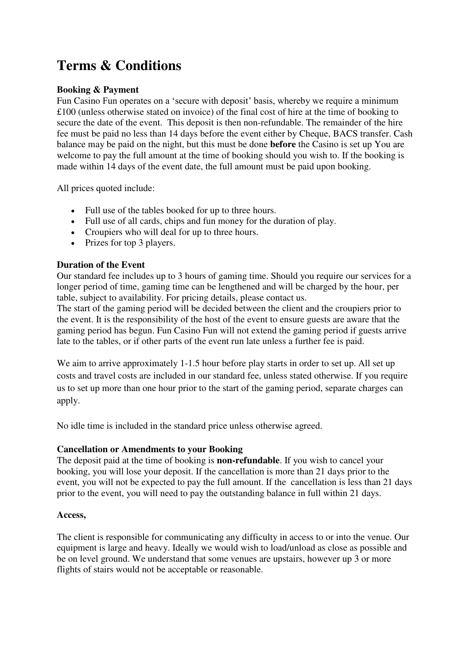# **Terms & Conditions**

## **Booking & Payment**

Fun Casino Fun operates on a 'secure with deposit' basis, whereby we require a minimum £100 (unless otherwise stated on invoice) of the final cost of hire at the time of booking to secure the date of the event. This deposit is then non-refundable. The remainder of the hire fee must be paid no less than 14 days before the event either by Cheque, BACS transfer. Cash balance may be paid on the night, but this must be done **before** the Casino is set up You are welcome to pay the full amount at the time of booking should you wish to. If the booking is made within 14 days of the event date, the full amount must be paid upon booking.

All prices quoted include:

- Full use of the tables booked for up to three hours.
- Full use of all cards, chips and fun money for the duration of play.
- Croupiers who will deal for up to three hours.
- Prizes for top 3 players.

## **Duration of the Event**

Our standard fee includes up to 3 hours of gaming time. Should you require our services for a longer period of time, gaming time can be lengthened and will be charged by the hour, per table, subject to availability. For pricing details, please contact us.

The start of the gaming period will be decided between the client and the croupiers prior to the event. It is the responsibility of the host of the event to ensure guests are aware that the gaming period has begun. Fun Casino Fun will not extend the gaming period if guests arrive late to the tables, or if other parts of the event run late unless a further fee is paid.

We aim to arrive approximately 1-1.5 hour before play starts in order to set up. All set up costs and travel costs are included in our standard fee, unless stated otherwise. If you require us to set up more than one hour prior to the start of the gaming period, separate charges can apply.

No idle time is included in the standard price unless otherwise agreed.

#### **Cancellation or Amendments to your Booking**

The deposit paid at the time of booking is **non-refundable**. If you wish to cancel your booking, you will lose your deposit. If the cancellation is more than 21 days prior to the event, you will not be expected to pay the full amount. If the cancellation is less than 21 days prior to the event, you will need to pay the outstanding balance in full within 21 days.

#### **Access,**

The client is responsible for communicating any difficulty in access to or into the venue. Our equipment is large and heavy. Ideally we would wish to load/unload as close as possible and be on level ground. We understand that some venues are upstairs, however up 3 or more flights of stairs would not be acceptable or reasonable.